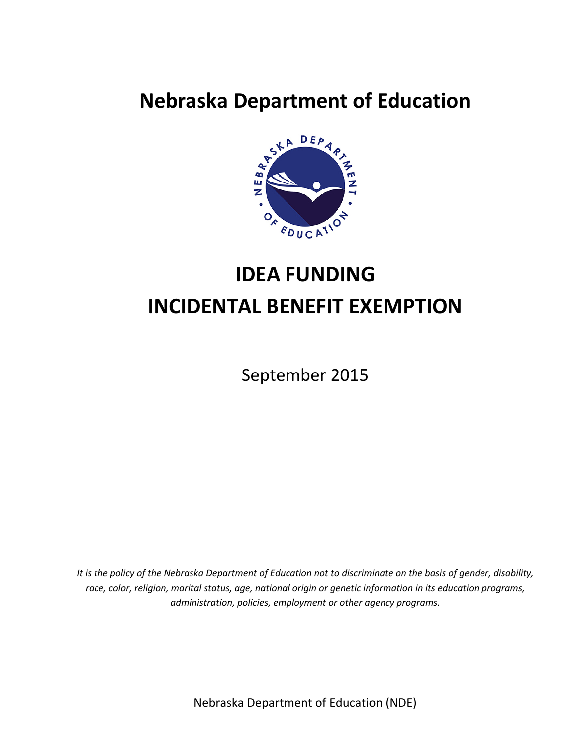## **Nebraska Department of Education**



# **IDEA FUNDING INCIDENTAL BENEFIT EXEMPTION**

September 2015

*It is the policy of the Nebraska Department of Education not to discriminate on the basis of gender, disability, race, color, religion, marital status, age, national origin or genetic information in its education programs, administration, policies, employment or other agency programs.*

Nebraska Department of Education (NDE)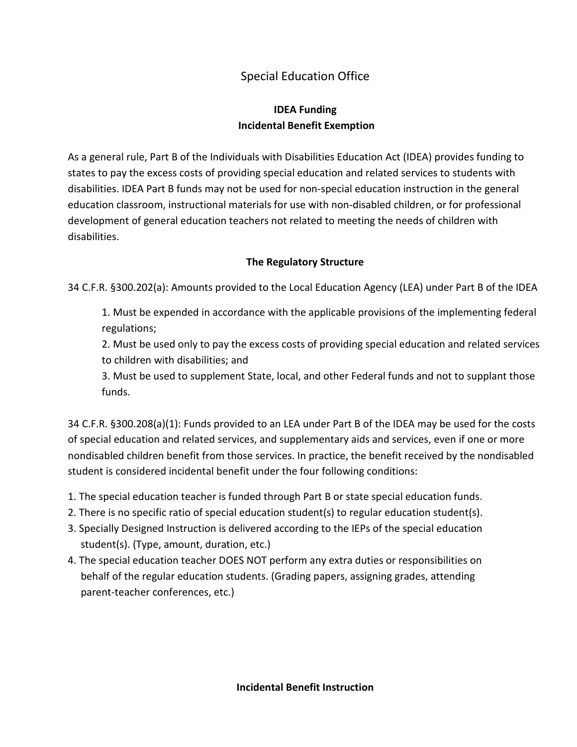## Special Education Office

## **IDEA Funding Incidental Benefit Exemption**

As a general rule, Part B of the Individuals with Disabilities Education Act (IDEA) provides funding to states to pay the excess costs of providing special education and related services to students with disabilities. IDEA Part B funds may not be used for non-special education instruction in the general education classroom, instructional materials for use with non-disabled children, or for professional development of general education teachers not related to meeting the needs of children with disabilities.

## **The Regulatory Structure**

34 C.F.R. §300.202(a): Amounts provided to the Local Education Agency (LEA) under Part B of the IDEA

1. Must be expended in accordance with the applicable provisions of the implementing federal regulations;

2. Must be used only to pay the excess costs of providing special education and related services to children with disabilities; and

3. Must be used to supplement State, local, and other Federal funds and not to supplant those funds.

34 C.F.R. §300.208(a)(1): Funds provided to an LEA under Part B of the IDEA may be used for the costs of special education and related services, and supplementary aids and services, even if one or more nondisabled children benefit from those services. In practice, the benefit received by the nondisabled student is considered incidental benefit under the four following conditions:

- 1. The special education teacher is funded through Part B or state special education funds.
- 2. There is no specific ratio of special education student(s) to regular education student(s).
- 3. Specially Designed Instruction is delivered according to the IEPs of the special education student(s). (Type, amount, duration, etc.)
- 4. The special education teacher DOES NOT perform any extra duties or responsibilities on behalf of the regular education students. (Grading papers, assigning grades, attending parent-teacher conferences, etc.)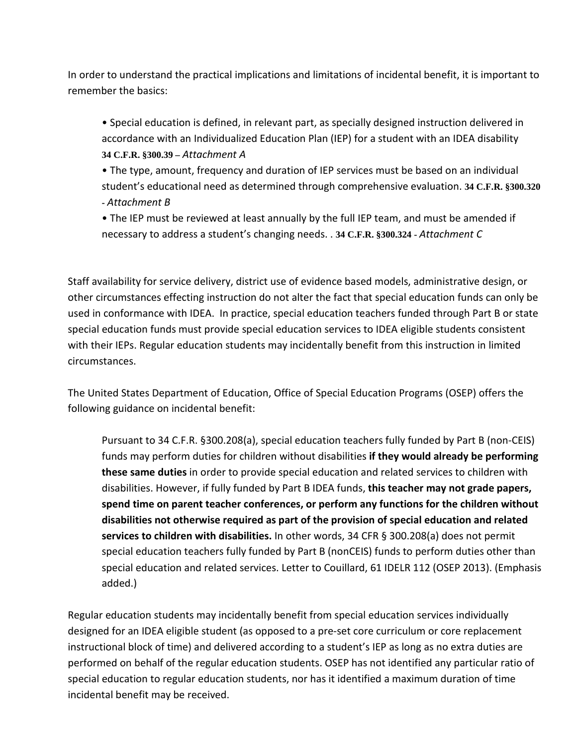In order to understand the practical implications and limitations of incidental benefit, it is important to remember the basics:

• Special education is defined, in relevant part, as specially designed instruction delivered in accordance with an Individualized Education Plan (IEP) for a student with an IDEA disability **34 C.F.R. §300.39 –** *Attachment A*

• The type, amount, frequency and duration of IEP services must be based on an individual student's educational need as determined through comprehensive evaluation. **34 C.F.R. §300.320 -** *Attachment B*

• The IEP must be reviewed at least annually by the full IEP team, and must be amended if necessary to address a student's changing needs. . **34 C.F.R. §300.324 -** *Attachment C*

Staff availability for service delivery, district use of evidence based models, administrative design, or other circumstances effecting instruction do not alter the fact that special education funds can only be used in conformance with IDEA. In practice, special education teachers funded through Part B or state special education funds must provide special education services to IDEA eligible students consistent with their IEPs. Regular education students may incidentally benefit from this instruction in limited circumstances.

The United States Department of Education, Office of Special Education Programs (OSEP) offers the following guidance on incidental benefit:

Pursuant to 34 C.F.R. §300.208(a), special education teachers fully funded by Part B (non-CEIS) funds may perform duties for children without disabilities **if they would already be performing these same duties** in order to provide special education and related services to children with disabilities. However, if fully funded by Part B IDEA funds, **this teacher may not grade papers, spend time on parent teacher conferences, or perform any functions for the children without disabilities not otherwise required as part of the provision of special education and related services to children with disabilities.** In other words, 34 CFR § 300.208(a) does not permit special education teachers fully funded by Part B (nonCEIS) funds to perform duties other than special education and related services. Letter to Couillard, 61 IDELR 112 (OSEP 2013). (Emphasis added.)

Regular education students may incidentally benefit from special education services individually designed for an IDEA eligible student (as opposed to a pre-set core curriculum or core replacement instructional block of time) and delivered according to a student's IEP as long as no extra duties are performed on behalf of the regular education students. OSEP has not identified any particular ratio of special education to regular education students, nor has it identified a maximum duration of time incidental benefit may be received.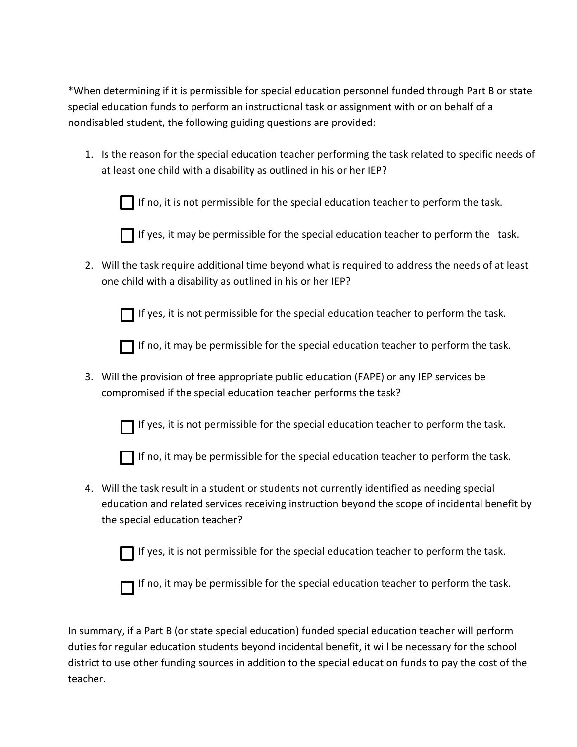\*When determining if it is permissible for special education personnel funded through Part B or state special education funds to perform an instructional task or assignment with or on behalf of a nondisabled student, the following guiding questions are provided:

1. Is the reason for the special education teacher performing the task related to specific needs of at least one child with a disability as outlined in his or her IEP?

If no, it is not permissible for the special education teacher to perform the task.



2. Will the task require additional time beyond what is required to address the needs of at least one child with a disability as outlined in his or her IEP?

If yes, it is not permissible for the special education teacher to perform the task.

If no, it may be permissible for the special education teacher to perform the task.

3. Will the provision of free appropriate public education (FAPE) or any IEP services be compromised if the special education teacher performs the task?

If yes, it is not permissible for the special education teacher to perform the task.



 $\Box$  If no, it may be permissible for the special education teacher to perform the task.

4. Will the task result in a student or students not currently identified as needing special education and related services receiving instruction beyond the scope of incidental benefit by the special education teacher?

If yes, it is not permissible for the special education teacher to perform the task.

If no, it may be permissible for the special education teacher to perform the task.

In summary, if a Part B (or state special education) funded special education teacher will perform duties for regular education students beyond incidental benefit, it will be necessary for the school district to use other funding sources in addition to the special education funds to pay the cost of the teacher.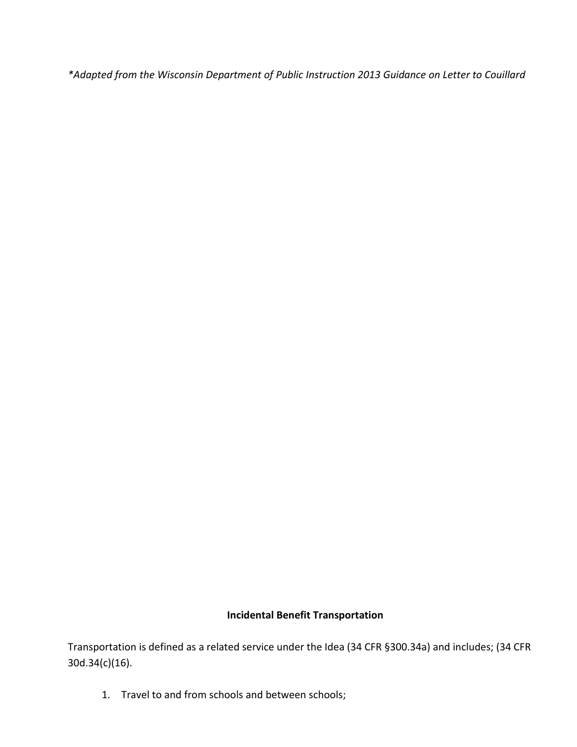*\*Adapted from the Wisconsin Department of Public Instruction 2013 Guidance on Letter to Couillard*

## **Incidental Benefit Transportation**

Transportation is defined as a related service under the Idea (34 CFR §300.34a) and includes; (34 CFR 30d.34(c)(16).

1. Travel to and from schools and between schools;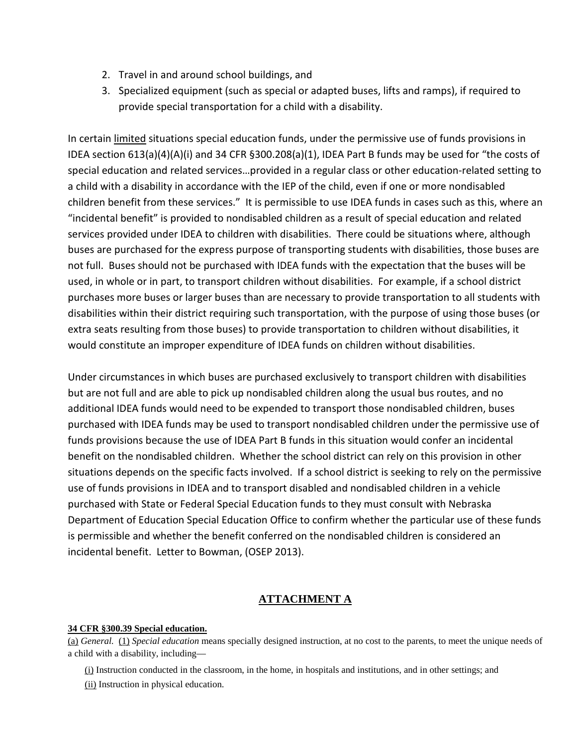- 2. Travel in and around school buildings, and
- 3. Specialized equipment (such as special or adapted buses, lifts and ramps), if required to provide special transportation for a child with a disability.

In certain limited situations special education funds, under the permissive use of funds provisions in IDEA section 613(a)(4)(A)(i) and 34 CFR §300.208(a)(1), IDEA Part B funds may be used for "the costs of special education and related services…provided in a regular class or other education-related setting to a child with a disability in accordance with the IEP of the child, even if one or more nondisabled children benefit from these services." It is permissible to use IDEA funds in cases such as this, where an "incidental benefit" is provided to nondisabled children as a result of special education and related services provided under IDEA to children with disabilities. There could be situations where, although buses are purchased for the express purpose of transporting students with disabilities, those buses are not full. Buses should not be purchased with IDEA funds with the expectation that the buses will be used, in whole or in part, to transport children without disabilities. For example, if a school district purchases more buses or larger buses than are necessary to provide transportation to all students with disabilities within their district requiring such transportation, with the purpose of using those buses (or extra seats resulting from those buses) to provide transportation to children without disabilities, it would constitute an improper expenditure of IDEA funds on children without disabilities.

Under circumstances in which buses are purchased exclusively to transport children with disabilities but are not full and are able to pick up nondisabled children along the usual bus routes, and no additional IDEA funds would need to be expended to transport those nondisabled children, buses purchased with IDEA funds may be used to transport nondisabled children under the permissive use of funds provisions because the use of IDEA Part B funds in this situation would confer an incidental benefit on the nondisabled children. Whether the school district can rely on this provision in other situations depends on the specific facts involved. If a school district is seeking to rely on the permissive use of funds provisions in IDEA and to transport disabled and nondisabled children in a vehicle purchased with State or Federal Special Education funds to they must consult with Nebraska Department of Education Special Education Office to confirm whether the particular use of these funds is permissible and whether the benefit conferred on the nondisabled children is considered an incidental benefit. Letter to Bowman, (OSEP 2013).

## **ATTACHMENT A**

#### **34 CFR §300.39 Special education.**

[\(a\)](http://idea.ed.gov/explore/view/p/%2Croot%2Cregs%2C300%2CA%2C300%252E39%2Ca%2C) *General.* [\(1\)](http://idea.ed.gov/explore/view/p/%2Croot%2Cregs%2C300%2CA%2C300%252E39%2Ca%2C1%2C) *Special education* means specially designed instruction, at no cost to the parents, to meet the unique needs of a child with a disability, including—

[\(i\)](http://idea.ed.gov/explore/view/p/%2Croot%2Cregs%2C300%2CA%2C300%252E39%2Ca%2C1%2Ci%2C) Instruction conducted in the classroom, in the home, in hospitals and institutions, and in other settings; and

[\(ii\)](http://idea.ed.gov/explore/view/p/%2Croot%2Cregs%2C300%2CA%2C300%252E39%2Ca%2C1%2Cii%2C) Instruction in physical education.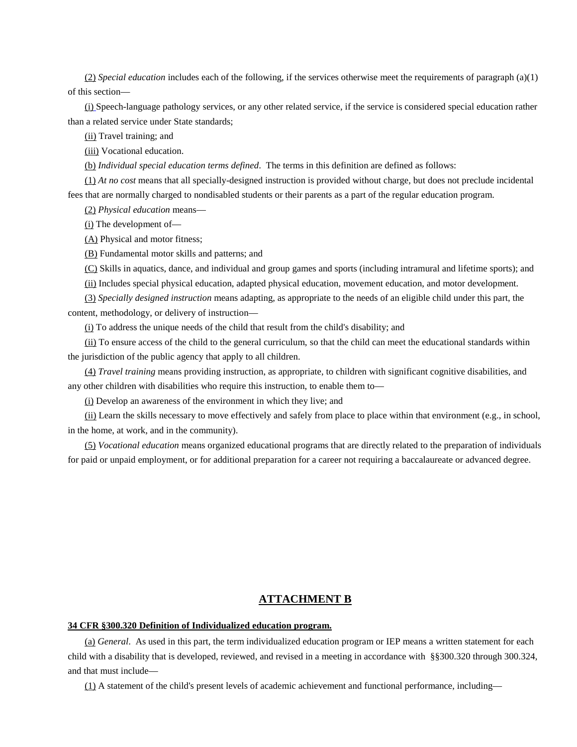[\(2\)](http://idea.ed.gov/explore/view/p/%2Croot%2Cregs%2C300%2CA%2C300%252E39%2Ca%2C2%2C) *Special education* includes each of the following, if the services otherwise meet the requirements of paragraph (a)(1) of this section—

[\(i\)](http://idea.ed.gov/explore/view/p/%2Croot%2Cregs%2C300%2CA%2C300%252E39%2Ca%2C2%2Ci%2C) Speech-language pathology services, or any other related service, if the service is considered special education rather than a related service under State standards;

(ii) Travel training; and

(iii) Vocational education.

[\(b\)](http://idea.ed.gov/explore/view/p/%2Croot%2Cregs%2C300%2CA%2C300%252E39%2Cb%2C) *Individual special education terms defined*. The terms in this definition are defined as follows:

[\(1\)](http://idea.ed.gov/explore/view/p/%2Croot%2Cregs%2C300%2CA%2C300%252E39%2Cb%2C1%2C) *At no cost* means that all specially-designed instruction is provided without charge, but does not preclude incidental fees that are normally charged to nondisabled students or their parents as a part of the regular education program.

[\(2\)](http://idea.ed.gov/explore/view/p/%2Croot%2Cregs%2C300%2CA%2C300%252E39%2Cb%2C2%2C) *Physical education* means—

[\(i\)](http://idea.ed.gov/explore/view/p/%2Croot%2Cregs%2C300%2CA%2C300%252E39%2Cb%2C2%2Ci%2C) The development of—

(A) Physical and motor fitness;

[\(B\)](http://idea.ed.gov/explore/view/p/%2Croot%2Cregs%2C300%2CA%2C300%252E39%2Cb%2C2%2Ci%2CB%2C) Fundamental motor skills and patterns; and

[\(C\)](http://idea.ed.gov/explore/view/p/%2Croot%2Cregs%2C300%2CA%2C300%252E39%2Cb%2C2%2Ci%2CC%2C) Skills in aquatics, dance, and individual and group games and sports (including intramural and lifetime sports); and

[\(ii\)](http://idea.ed.gov/explore/view/p/%2Croot%2Cregs%2C300%2CA%2C300%252E39%2Cb%2C2%2Cii%2C) Includes special physical education, adapted physical education, movement education, and motor development.

[\(3\)](http://idea.ed.gov/explore/view/p/%2Croot%2Cregs%2C300%2CA%2C300%252E39%2Cb%2C3%2C) *Specially designed instruction* means adapting, as appropriate to the needs of an eligible child under this part, the content, methodology, or delivery of instruction—

[\(i\)](http://idea.ed.gov/explore/view/p/%2Croot%2Cregs%2C300%2CA%2C300%252E39%2Cb%2C3%2Ci%2C) To address the unique needs of the child that result from the child's disability; and

[\(ii\)](http://idea.ed.gov/explore/view/p/%2Croot%2Cregs%2C300%2CA%2C300%252E39%2Cb%2C3%2Cii%2C) To ensure access of the child to the general curriculum, so that the child can meet the educational standards within the jurisdiction of the public agency that apply to all children.

[\(4\)](http://idea.ed.gov/explore/view/p/%2Croot%2Cregs%2C300%2CA%2C300%252E39%2Cb%2C4%2C) *Travel training* means providing instruction, as appropriate, to children with significant cognitive disabilities, and any other children with disabilities who require this instruction, to enable them to—

[\(i\)](http://idea.ed.gov/explore/view/p/%2Croot%2Cregs%2C300%2CA%2C300%252E39%2Cb%2C4%2Ci%2C) Develop an awareness of the environment in which they live; and

[\(ii\)](http://idea.ed.gov/explore/view/p/%2Croot%2Cregs%2C300%2CA%2C300%252E39%2Cb%2C4%2Cii%2C) Learn the skills necessary to move effectively and safely from place to place within that environment (e.g., in school, in the home, at work, and in the community).

[\(5\)](http://idea.ed.gov/explore/view/p/%2Croot%2Cregs%2C300%2CA%2C300%252E39%2Cb%2C5%2C) *Vocational education* means organized educational programs that are directly related to the preparation of individuals for paid or unpaid employment, or for additional preparation for a career not requiring a baccalaureate or advanced degree.

#### **ATTACHMENT B**

#### **34 CFR §300.320 Definition of Individualized education program.**

[\(a\)](http://idea.ed.gov/explore/view/p/%2Croot%2Cregs%2C300%2CD%2C300%252E320%2Ca%2C) *General*. As used in this part, the term individualized education program or IEP means a written statement for each child with a disability that is developed, reviewed, and revised in a meeting in accordance with §§300.320 through 300.324, and that must include—

[\(1\)](http://idea.ed.gov/explore/view/p/%2Croot%2Cregs%2C300%2CD%2C300%252E320%2Ca%2C1%2C) A statement of the child's present levels of academic achievement and functional performance, including—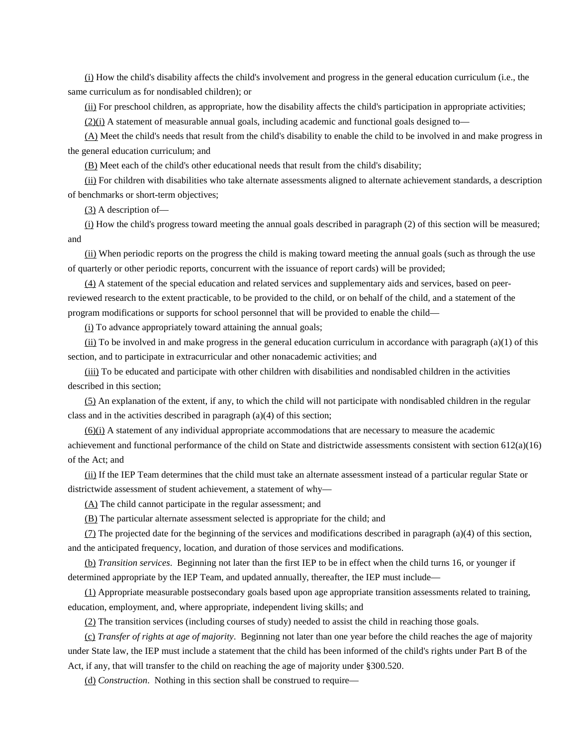[\(i\)](http://idea.ed.gov/explore/view/p/%2Croot%2Cregs%2C300%2CD%2C300%252E320%2Ca%2C1%2Ci%2C) How the child's disability affects the child's involvement and progress in the general education curriculum (i.e., the same curriculum as for nondisabled children); or

[\(ii\)](http://idea.ed.gov/explore/view/p/%2Croot%2Cregs%2C300%2CD%2C300%252E320%2Ca%2C1%2Cii%2C) For preschool children, as appropriate, how the disability affects the child's participation in appropriate activities;

 $(2)(i)$  A statement of measurable annual goals, including academic and functional goals designed to—

[\(A\)](http://idea.ed.gov/explore/view/p/%2Croot%2Cregs%2C300%2CD%2C300%252E320%2Ca%2C2%2Ci%2CA%2C) Meet the child's needs that result from the child's disability to enable the child to be involved in and make progress in the general education curriculum; and

[\(B\)](http://idea.ed.gov/explore/view/p/%2Croot%2Cregs%2C300%2CD%2C300%252E320%2Ca%2C2%2Ci%2CB%2C) Meet each of the child's other educational needs that result from the child's disability;

[\(ii\)](http://idea.ed.gov/explore/view/p/%2Croot%2Cregs%2C300%2CD%2C300%252E320%2Ca%2C2%2Cii%2C) For children with disabilities who take alternate assessments aligned to alternate achievement standards, a description of benchmarks or short-term objectives;

[\(3\)](http://idea.ed.gov/explore/view/p/%2Croot%2Cregs%2C300%2CD%2C300%252E320%2Ca%2C3%2C) A description of—

[\(i\)](http://idea.ed.gov/explore/view/p/%2Croot%2Cregs%2C300%2CD%2C300%252E320%2Ca%2C3%2Ci%2C) How the child's progress toward meeting the annual goals described in paragraph (2) of this section will be measured; and

[\(ii\)](http://idea.ed.gov/explore/view/p/%2Croot%2Cregs%2C300%2CD%2C300%252E320%2Ca%2C3%2Cii%2C) When periodic reports on the progress the child is making toward meeting the annual goals (such as through the use of quarterly or other periodic reports, concurrent with the issuance of report cards) will be provided;

[\(4\)](http://idea.ed.gov/explore/view/p/%2Croot%2Cregs%2C300%2CD%2C300%252E320%2Ca%2C4%2C) A statement of the special education and related services and supplementary aids and services, based on peerreviewed research to the extent practicable, to be provided to the child, or on behalf of the child, and a statement of the program modifications or supports for school personnel that will be provided to enable the child—

[\(i\)](http://idea.ed.gov/explore/view/p/%2Croot%2Cregs%2C300%2CD%2C300%252E320%2Ca%2C4%2Ci%2C) To advance appropriately toward attaining the annual goals;

 $(iii)$  To be involved in and make progress in the general education curriculum in accordance with paragraph (a)(1) of this section, and to participate in extracurricular and other nonacademic activities; and

[\(iii\)](http://idea.ed.gov/explore/view/p/%2Croot%2Cregs%2C300%2CD%2C300%252E320%2Ca%2C4%2Ciii%2C) To be educated and participate with other children with disabilities and nondisabled children in the activities described in this section;

[\(5\)](http://idea.ed.gov/explore/view/p/%2Croot%2Cregs%2C300%2CD%2C300%252E320%2Ca%2C5%2C) An explanation of the extent, if any, to which the child will not participate with nondisabled children in the regular class and in the activities described in paragraph (a)(4) of this section;

[\(6\)\(i\)](http://idea.ed.gov/explore/view/p/%2Croot%2Cregs%2C300%2CD%2C300%252E320%2Ca%2C6%2C) A statement of any individual appropriate accommodations that are necessary to measure the academic achievement and functional performance of the child on State and districtwide assessments consistent with section 612(a)(16) of the Act; and

[\(ii\)](http://idea.ed.gov/explore/view/p/%2Croot%2Cregs%2C300%2CD%2C300%252E320%2Ca%2C6%2Cii%2C) If the IEP Team determines that the child must take an alternate assessment instead of a particular regular State or districtwide assessment of student achievement, a statement of why—

[\(A\)](http://idea.ed.gov/explore/view/p/%2Croot%2Cregs%2C300%2CD%2C300%252E320%2Ca%2C6%2Cii%2CA%2C) The child cannot participate in the regular assessment; and

[\(B\)](http://idea.ed.gov/explore/view/p/%2Croot%2Cregs%2C300%2CD%2C300%252E320%2Ca%2C6%2Cii%2CB%2C) The particular alternate assessment selected is appropriate for the child; and

 $(7)$  The projected date for the beginning of the services and modifications described in paragraph (a)(4) of this section, and the anticipated frequency, location, and duration of those services and modifications.

[\(b\)](http://idea.ed.gov/explore/view/p/%2Croot%2Cregs%2C300%2CD%2C300%252E320%2Cb%2C) *Transition services*. Beginning not later than the first IEP to be in effect when the child turns 16, or younger if determined appropriate by the IEP Team, and updated annually, thereafter, the IEP must include—

[\(1\)](http://idea.ed.gov/explore/view/p/%2Croot%2Cregs%2C300%2CD%2C300%252E320%2Cb%2C1%2C) Appropriate measurable postsecondary goals based upon age appropriate transition assessments related to training, education, employment, and, where appropriate, independent living skills; and

[\(2\)](http://idea.ed.gov/explore/view/p/%2Croot%2Cregs%2C300%2CD%2C300%252E320%2Cb%2C2%2C) The transition services (including courses of study) needed to assist the child in reaching those goals.

[\(c\)](http://idea.ed.gov/explore/view/p/%2Croot%2Cregs%2C300%2CD%2C300%252E320%2Cc%2C) *Transfer of rights at age of majority*. Beginning not later than one year before the child reaches the age of majority under State law, the IEP must include a statement that the child has been informed of the child's rights under Part B of the Act, if any, that will transfer to the child on reaching the age of majority under §300.520.

[\(d\)](http://idea.ed.gov/explore/view/p/%2Croot%2Cregs%2C300%2CD%2C300%252E320%2Cd%2C) *Construction*. Nothing in this section shall be construed to require—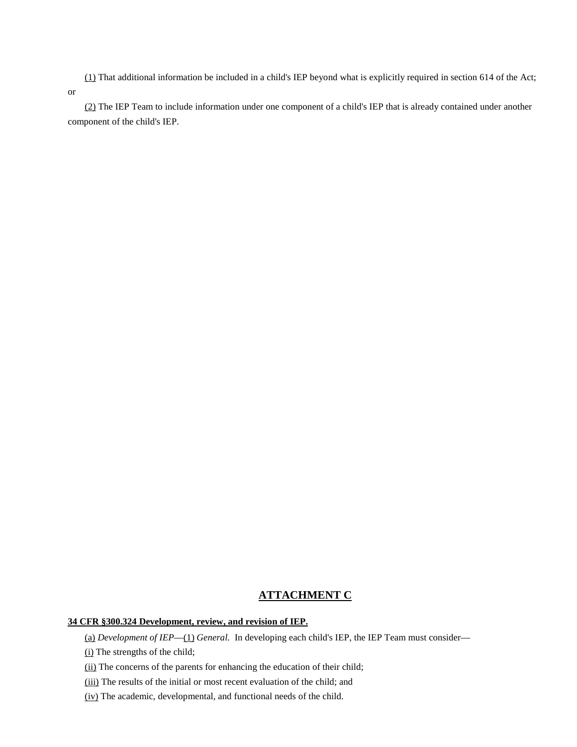[\(1\)](http://idea.ed.gov/explore/view/p/%2Croot%2Cregs%2C300%2CD%2C300%252E320%2Cd%2C1%2C) That additional information be included in a child's IEP beyond what is explicitly required in section 614 of the Act; or

[\(2\)](http://idea.ed.gov/explore/view/p/%2Croot%2Cregs%2C300%2CD%2C300%252E320%2Cd%2C2%2C) The IEP Team to include information under one component of a child's IEP that is already contained under another component of the child's IEP.

#### **ATTACHMENT C**

#### **34 CFR §300.324 Development, review, and revision of IEP.**

- [\(a\)](http://idea.ed.gov/explore/view/p/%2Croot%2Cregs%2C300%2CD%2C300%252E324%2Ca%2C) *Development of IEP*[—\(1\)](http://idea.ed.gov/explore/view/p/%2Croot%2Cregs%2C300%2CD%2C300%252E324%2Ca%2C1%2C) *General.* In developing each child's IEP, the IEP Team must consider—
- [\(i\)](http://idea.ed.gov/explore/view/p/%2Croot%2Cregs%2C300%2CD%2C300%252E324%2Ca%2C1%2Ci%2C) The strengths of the child;
- [\(ii\)](http://idea.ed.gov/explore/view/p/%2Croot%2Cregs%2C300%2CD%2C300%252E324%2Ca%2C1%2Cii%2C) The concerns of the parents for enhancing the education of their child;
- [\(iii\)](http://idea.ed.gov/explore/view/p/%2Croot%2Cregs%2C300%2CD%2C300%252E324%2Ca%2C1%2Ciii%2C) The results of the initial or most recent evaluation of the child; and
- [\(iv\)](http://idea.ed.gov/explore/view/p/%2Croot%2Cregs%2C300%2CD%2C300%252E324%2Ca%2C1%2Civ%2C) The academic, developmental, and functional needs of the child.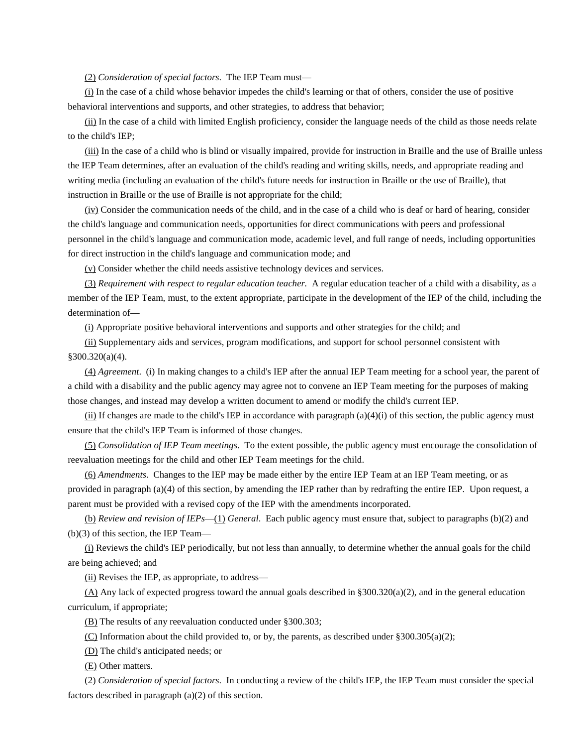#### [\(2\)](http://idea.ed.gov/explore/view/p/%2Croot%2Cregs%2C300%2CD%2C300%252E324%2Ca%2C2%2C) *Consideration of special factors*. The IEP Team must—

[\(i\)](http://idea.ed.gov/explore/view/p/%2Croot%2Cregs%2C300%2CD%2C300%252E324%2Ca%2C2%2Ci%2C) In the case of a child whose behavior impedes the child's learning or that of others, consider the use of positive behavioral interventions and supports, and other strategies, to address that behavior;

[\(ii\)](http://idea.ed.gov/explore/view/p/%2Croot%2Cregs%2C300%2CD%2C300%252E324%2Ca%2C2%2Cii%2C) In the case of a child with limited English proficiency, consider the language needs of the child as those needs relate to the child's IEP;

[\(iii\)](http://idea.ed.gov/explore/view/p/%2Croot%2Cregs%2C300%2CD%2C300%252E324%2Ca%2C2%2Ciii%2C) In the case of a child who is blind or visually impaired, provide for instruction in Braille and the use of Braille unless the IEP Team determines, after an evaluation of the child's reading and writing skills, needs, and appropriate reading and writing media (including an evaluation of the child's future needs for instruction in Braille or the use of Braille), that instruction in Braille or the use of Braille is not appropriate for the child;

[\(iv\)](http://idea.ed.gov/explore/view/p/%2Croot%2Cregs%2C300%2CD%2C300%252E324%2Ca%2C2%2Civ%2C) Consider the communication needs of the child, and in the case of a child who is deaf or hard of hearing, consider the child's language and communication needs, opportunities for direct communications with peers and professional personnel in the child's language and communication mode, academic level, and full range of needs, including opportunities for direct instruction in the child's language and communication mode; and

[\(v\)](http://idea.ed.gov/explore/view/p/%2Croot%2Cregs%2C300%2CD%2C300%252E324%2Ca%2C2%2Cv%2C) Consider whether the child needs assistive technology devices and services.

[\(3\)](http://idea.ed.gov/explore/view/p/%2Croot%2Cregs%2C300%2CD%2C300%252E324%2Ca%2C3%2C) *Requirement with respect to regular education teacher.* A regular education teacher of a child with a disability, as a member of the IEP Team, must, to the extent appropriate, participate in the development of the IEP of the child, including the determination of—

[\(i\)](http://idea.ed.gov/explore/view/p/%2Croot%2Cregs%2C300%2CD%2C300%252E324%2Ca%2C3%2Ci%2C) Appropriate positive behavioral interventions and supports and other strategies for the child; and

[\(ii\)](http://idea.ed.gov/explore/view/p/%2Croot%2Cregs%2C300%2CD%2C300%252E324%2Ca%2C3%2Cii%2C) Supplementary aids and services, program modifications, and support for school personnel consistent with §300.320(a)(4).

[\(4\)](http://idea.ed.gov/explore/view/p/%2Croot%2Cregs%2C300%2CD%2C300%252E324%2Ca%2C4%2C) *Agreement*. (i) In making changes to a child's IEP after the annual IEP Team meeting for a school year, the parent of a child with a disability and the public agency may agree not to convene an IEP Team meeting for the purposes of making those changes, and instead may develop a written document to amend or modify the child's current IEP.

 $(iii)$  If changes are made to the child's IEP in accordance with paragraph  $(a)(4)(i)$  of this section, the public agency must ensure that the child's IEP Team is informed of those changes.

[\(5\)](http://idea.ed.gov/explore/view/p/%2Croot%2Cregs%2C300%2CD%2C300%252E324%2Ca%2C5%2C) *Consolidation of IEP Team meetings*. To the extent possible, the public agency must encourage the consolidation of reevaluation meetings for the child and other IEP Team meetings for the child.

[\(6\)](http://idea.ed.gov/explore/view/p/%2Croot%2Cregs%2C300%2CD%2C300%252E324%2Ca%2C6%2C) *Amendments*. Changes to the IEP may be made either by the entire IEP Team at an IEP Team meeting, or as provided in paragraph (a)(4) of this section, by amending the IEP rather than by redrafting the entire IEP. Upon request, a parent must be provided with a revised copy of the IEP with the amendments incorporated.

[\(b\)](http://idea.ed.gov/explore/view/p/%2Croot%2Cregs%2C300%2CD%2C300%252E324%2Cb%2C) *Review and revision of IEPs*[—\(1\)](http://idea.ed.gov/explore/view/p/%2Croot%2Cregs%2C300%2CD%2C300%252E324%2Cb%2C1%2C) *General*. Each public agency must ensure that, subject to paragraphs (b)(2) and (b)(3) of this section, the IEP Team—

[\(i\)](http://idea.ed.gov/explore/view/p/%2Croot%2Cregs%2C300%2CD%2C300%252E324%2Cb%2C1%2Ci%2C) Reviews the child's IEP periodically, but not less than annually, to determine whether the annual goals for the child are being achieved; and

[\(ii\)](http://idea.ed.gov/explore/view/p/%2Croot%2Cregs%2C300%2CD%2C300%252E324%2Cb%2C1%2Cii%2C) Revises the IEP, as appropriate, to address—

[\(A\)](http://idea.ed.gov/explore/view/p/%2Croot%2Cregs%2C300%2CD%2C300%252E324%2Cb%2C1%2Cii%2CA%2C) Any lack of expected progress toward the annual goals described in §300.320(a)(2), and in the general education curriculum, if appropriate;

[\(B\)](http://idea.ed.gov/explore/view/p/%2Croot%2Cregs%2C300%2CD%2C300%252E324%2Cb%2C1%2Cii%2CB%2C) The results of any reevaluation conducted under §300.303;

[\(C\)](http://idea.ed.gov/explore/view/p/%2Croot%2Cregs%2C300%2CD%2C300%252E324%2Cb%2C1%2Cii%2CC%2C) Information about the child provided to, or by, the parents, as described under  $\S 300.305(a)(2)$ ;

[\(D\)](http://idea.ed.gov/explore/view/p/%2Croot%2Cregs%2C300%2CD%2C300%252E324%2Cb%2C1%2Cii%2CD%2C) The child's anticipated needs; or

[\(E\)](http://idea.ed.gov/explore/view/p/%2Croot%2Cregs%2C300%2CD%2C300%252E324%2Cb%2C1%2Cii%2CE%2C) Other matters.

[\(2\)](http://idea.ed.gov/explore/view/p/%2Croot%2Cregs%2C300%2CD%2C300%252E324%2Cb%2C2%2C) *Consideration of special factors*. In conducting a review of the child's IEP, the IEP Team must consider the special factors described in paragraph (a)(2) of this section.